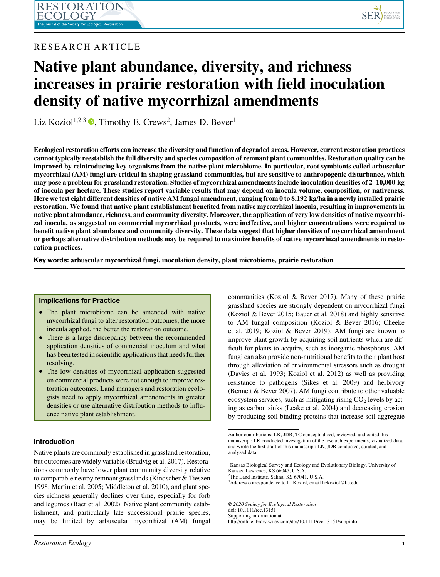

# RESEARCH ARTICLE

# Native plant abundance, diversity, and richness increases in prairie restoration with field inoculation density of native mycorrhizal amendments

Liz Koziol<sup>1[,](https://orcid.org/0000-0002-1069-737X)2,3</sup>  $\bullet$ , Timothy E. Crews<sup>2</sup>, James D. Bever<sup>1</sup>

Ecological restoration efforts can increase the diversity and function of degraded areas. However, current restoration practices cannot typically reestablish the full diversity and species composition of remnant plant communities. Restoration quality can be improved by reintroducing key organisms from the native plant microbiome. In particular, root symbionts called arbuscular mycorrhizal (AM) fungi are critical in shaping grassland communities, but are sensitive to anthropogenic disturbance, which may pose a problem for grassland restoration. Studies of mycorrhizal amendments include inoculation densities of 2–10,000 kg of inocula per hectare. These studies report variable results that may depend on inocula volume, composition, or nativeness. Here we test eight different densities of native AM fungal amendment, ranging from 0 to 8,192 kg/ha in a newly installed prairie restoration. We found that native plant establishment benefited from native mycorrhizal inocula, resulting in improvements in native plant abundance, richness, and community diversity. Moreover, the application of very low densities of native mycorrhizal inocula, as suggested on commercial mycorrhizal products, were ineffective, and higher concentrations were required to benefit native plant abundance and community diversity. These data suggest that higher densities of mycorrhizal amendment or perhaps alternative distribution methods may be required to maximize benefits of native mycorrhizal amendments in restoration practices.

Key words: arbuscular mycorrhizal fungi, inoculation density, plant microbiome, prairie restoration

# Implications for Practice

- The plant microbiome can be amended with native mycorrhizal fungi to alter restoration outcomes; the more inocula applied, the better the restoration outcome.
- There is a large discrepancy between the recommended application densities of commercial inoculum and what has been tested in scientific applications that needs further resolving.
- The low densities of mycorrhizal application suggested on commercial products were not enough to improve restoration outcomes. Land managers and restoration ecologists need to apply mycorrhizal amendments in greater densities or use alternative distribution methods to influence native plant establishment.

# Introduction

Native plants are commonly established in grassland restoration, but outcomes are widely variable (Brudvig et al. 2017). Restorations commonly have lower plant community diversity relative to comparable nearby remnant grasslands (Kindscher & Tieszen 1998; Martin et al. 2005; Middleton et al. 2010), and plant species richness generally declines over time, especially for forb and legumes (Baer et al. 2002). Native plant community establishment, and particularly late successional prairie species, may be limited by arbuscular mycorrhizal (AM) fungal communities (Koziol & Bever 2017). Many of these prairie grassland species are strongly dependent on mycorrhizal fungi (Koziol & Bever 2015; Bauer et al. 2018) and highly sensitive to AM fungal composition (Koziol & Bever 2016; Cheeke et al. 2019; Koziol & Bever 2019). AM fungi are known to improve plant growth by acquiring soil nutrients which are difficult for plants to acquire, such as inorganic phosphorus. AM fungi can also provide non-nutritional benefits to their plant host through alleviation of environmental stressors such as drought (Davies et al. 1993; Koziol et al. 2012) as well as providing resistance to pathogens (Sikes et al. 2009) and herbivory (Bennett & Bever 2007). AM fungi contribute to other valuable ecosystem services, such as mitigating rising  $CO<sub>2</sub>$  levels by acting as carbon sinks (Leake et al. 2004) and decreasing erosion by producing soil-binding proteins that increase soil aggregate

2 The Land Institute, Salina, KS 67041, U.S.A.

© 2020 Society for Ecological Restoration doi: 10.1111/rec.13151 Supporting information at: http://onlinelibrary.wiley.com/doi/10.1111/rec.13151/suppinfo

Author contributions: LK, JDB, TC conceptualized, reviewed, and edited this manuscript; LK conducted investigation of the research experiments, visualized data, and wrote the first draft of this manuscript; LK, JDB conducted, curated, and analyzed data.

<sup>1</sup> Kansas Biological Survey and Ecology and Evolutionary Biology, University of Kansas, Lawrence, KS 66047, U.S.A.

<sup>3</sup> Address correspondence to L. Koziol, email [lizkoziol@ku.edu](mailto:lizkoziol@ku.edu)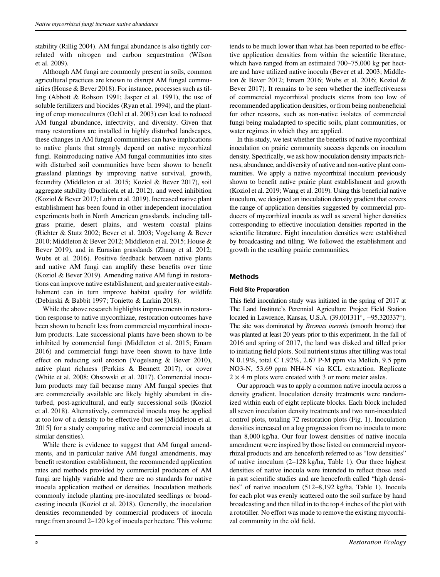stability (Rillig 2004). AM fungal abundance is also tightly correlated with nitrogen and carbon sequestration (Wilson et al. 2009).

Although AM fungi are commonly present in soils, common agricultural practices are known to disrupt AM fungal communities (House & Bever 2018). For instance, processes such as tilling (Abbott & Robson 1991; Jasper et al. 1991), the use of soluble fertilizers and biocides (Ryan et al. 1994), and the planting of crop monocultures (Oehl et al. 2003) can lead to reduced AM fungal abundance, infectivity, and diversity. Given that many restorations are installed in highly disturbed landscapes, these changes in AM fungal communities can have implications to native plants that strongly depend on native mycorrhizal fungi. Reintroducing native AM fungal communities into sites with disturbed soil communities have been shown to benefit grassland plantings by improving native survival, growth, fecundity (Middleton et al. 2015; Koziol & Bever 2017), soil aggregate stability (Duchicela et al. 2012). and weed inhibition (Koziol & Bever 2017; Lubin et al. 2019). Increased native plant establishment has been found in other independent inoculation experiments both in North American grasslands. including tallgrass prairie, desert plains, and western coastal plains (Richter & Stutz 2002; Bever et al. 2003; Vogelsang & Bever 2010; Middleton & Bever 2012; Middleton et al. 2015; House & Bever 2019), and in Eurasian grasslands (Zhang et al. 2012; Wubs et al. 2016). Positive feedback between native plants and native AM fungi can amplify these benefits over time (Koziol & Bever 2019). Amending native AM fungi in restorations can improve native establishment, and greater native establishment can in turn improve habitat quality for wildlife (Debinski & Babbit 1997; Tonietto & Larkin 2018).

While the above research highlights improvements in restoration response to native mycorrhizae, restoration outcomes have been shown to benefit less from commercial mycorrhizal inoculum products. Late successional plants have been shown to be inhibited by commercial fungi (Middleton et al. 2015; Emam 2016) and commercial fungi have been shown to have little effect on reducing soil erosion (Vogelsang & Bever 2010), native plant richness (Perkins & Bennett 2017), or cover (White et al. 2008; Ohsowski et al. 2017). Commercial inoculum products may fail because many AM fungal species that are commercially available are likely highly abundant in disturbed, post-agricultural, and early successional soils (Koziol et al. 2018). Alternatively, commercial inocula may be applied at too low of a density to be effective (but see [Middleton et al. 2015] for a study comparing native and commercial inocula at similar densities).

While there is evidence to suggest that AM fungal amendments, and in particular native AM fungal amendments, may benefit restoration establishment, the recommended application rates and methods provided by commercial producers of AM fungi are highly variable and there are no standards for native inocula application method or densities. Inoculation methods commonly include planting pre-inoculated seedlings or broadcasting inocula (Koziol et al. 2018). Generally, the inoculation densities recommended by commercial producers of inocula range from around 2–120 kg of inocula per hectare. This volume

tends to be much lower than what has been reported to be effective application densities from within the scientific literature, which have ranged from an estimated 700–75,000 kg per hectare and have utilized native inocula (Bever et al. 2003; Middleton & Bever 2012; Emam 2016; Wubs et al. 2016; Koziol & Bever 2017). It remains to be seen whether the ineffectiveness of commercial mycorrhizal products stems from too low of recommended application densities, or from being nonbeneficial for other reasons, such as non-native isolates of commercial fungi being maladapted to specific soils, plant communities, or water regimes in which they are applied.

In this study, we test whether the benefits of native mycorrhizal inoculation on prairie community success depends on inoculum density. Specifically, we ask how inoculation density impacts richness, abundance, and diversity of native and non-native plant communities. We apply a native mycorrhizal inoculum previously shown to benefit native prairie plant establishment and growth (Koziol et al. 2019; Wang et al. 2019). Using this beneficial native inoculum, we designed an inoculation density gradient that covers the range of application densities suggested by commercial producers of mycorrhizal inocula as well as several higher densities corresponding to effective inoculation densities reported in the scientific literature. Eight inoculation densities were established by broadcasting and tilling. We followed the establishment and growth in the resulting prairie communities.

# Methods

# Field Site Preparation

This field inoculation study was initiated in the spring of 2017 at The Land Institute's Perennial Agriculture Project Field Station located in Lawrence, Kansas, U.S.A. (39.001311°, -95.320337°). The site was dominated by Bromus inermis (smooth brome) that was planted at least 20 years prior to this experiment. In the fall of 2016 and spring of 2017, the land was disked and tilled prior to initiating field plots. Soil nutrient status after tilling was total N 0.19%, total C 1.92%, 2.67 P-M ppm via Melich, 9.5 ppm NO3-N, 53.69 ppm NH4-N via KCL extraction. Replicate  $2 \times 4$  m plots were created with 3 or more meter aisles.

Our approach was to apply a common native inocula across a density gradient. Inoculation density treatments were randomized within each of eight replicate blocks. Each block included all seven inoculation density treatments and two non-inoculated control plots, totaling 72 restoration plots (Fig. 1). Inoculation densities increased on a log progression from no inocula to more than 8,000 kg/ha. Our four lowest densities of native inocula amendment were inspired by those listed on commercial mycorrhizal products and are henceforth referred to as "low densities" of native inoculum (2–128 kg/ha, Table 1). Our three highest densities of native inocula were intended to reflect those used in past scientific studies and are henceforth called "high densities" of native inoculum (512–8,192 kg/ha, Table 1). Inocula for each plot was evenly scattered onto the soil surface by hand broadcasting and then tilled in to the top 4 inches of the plot with a rototiller. No effort was made to remove the existing mycorrhizal community in the old field.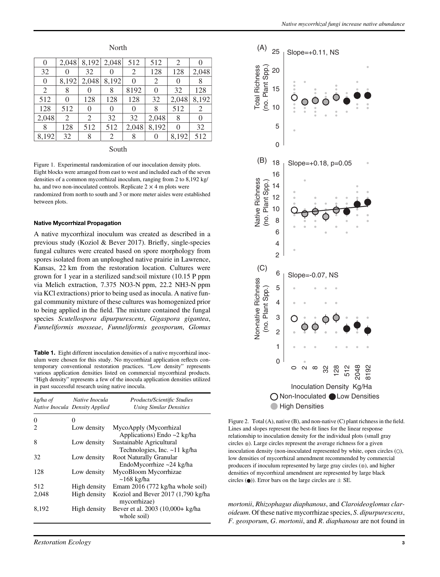| $\theta$       | 2,048 | 8,192 | 2,048    | 512      | 512              | 2        |       |
|----------------|-------|-------|----------|----------|------------------|----------|-------|
| 32             |       | 32    |          | 2        | 128              | 128      | 2,048 |
| $\overline{0}$ | 8,192 | 2,048 | 8,192    | $\theta$ | 2                | 0        | 8     |
| 2              | 8     |       | 8        | 8192     |                  | 32       | 128   |
| 512            | 0     | 128   | 128      | 128      | 32               | 2,048    | 8,192 |
| 128            | 512   | 0     | $\theta$ | $\theta$ | 8                | 512      | 2     |
| 2,048          | 2     | 2     | 32       | 32       | 2,048            | 8        | 0     |
| 8              | 128   | 512   | 512      | 2,048    | 8,192            | $\theta$ | 32    |
| 8,192          | 32    | 8     | 2        | 8        | $\left( \right)$ | 8,192    | 512   |

North

#### South

Figure 1. Experimental randomization of our inoculation density plots. Eight blocks were arranged from east to west and included each of the seven densities of a common mycorrhizal inoculum, ranging from 2 to 8,192 kg/ ha, and two non-inoculated controls. Replicate  $2 \times 4$  m plots were randomized from north to south and 3 or more meter aisles were established between plots.

#### Native Mycorrhizal Propagation

A native mycorrhizal inoculum was created as described in a previous study (Koziol & Bever 2017). Briefly, single-species fungal cultures were created based on spore morphology from spores isolated from an unploughed native prairie in Lawrence, Kansas, 22 km from the restoration location. Cultures were grown for 1 year in a sterilized sand:soil mixture (10.15 P ppm via Melich extraction, 7.375 NO3-N ppm, 22.2 NH3-N ppm via KCl extractions) prior to being used as inocula. A native fungal community mixture of these cultures was homogenized prior to being applied in the field. The mixture contained the fungal species Scutellospora dipurpurescens, Gigaspora gigantea, Funneliformis mosseae, Funneliformis geosporum, Glomus

Table 1. Eight different inoculation densities of a native mycorrhizal inoculum were chosen for this study. No mycorrhizal application reflects contemporary conventional restoration practices. "Low density" represents various application densities listed on commercial mycorrhizal products. "High density" represents a few of the inocula application densities utilized in past successful research using native inocula.

| kg/ha of | Native Inocula<br>Native Inocula Density Applied | Products/Scientific Studies<br><b>Using Similar Densities</b>  |
|----------|--------------------------------------------------|----------------------------------------------------------------|
| 0        | 0                                                |                                                                |
| 2        | Low density                                      | MycoApply (Mycorrhizal<br>Applications) Endo $\sim$ 2 kg/ha    |
| 8        | Low density                                      | Sustainable Agricultural<br>Technologies, Inc. $\sim$ 11 kg/ha |
| 32       | Low density                                      | Root Naturally Granular<br>EndoMycorrhize $\sim$ 24 kg/ha      |
| 128      | Low density                                      | MycoBloom Mycorrhizae<br>$\sim$ 168 kg/ha                      |
| 512      | High density                                     | Emam 2016 (772 kg/ha whole soil)                               |
| 2,048    | High density                                     | Koziol and Bever 2017 (1,790 kg/ha<br>mycorrhizae)             |
| 8,192    | High density                                     | Bever et al. 2003 (10,000+ kg/ha<br>whole soil)                |



Figure 2. Total (A), native (B), and non-native (C) plant richness in the field. Lines and slopes represent the best-fit lines for the linear response relationship to inoculation density for the individual plots (small gray circles  $\circ$ ). Large circles represent the average richness for a given inoculation density (non-inoculated represented by white, open circles  $(\bigcirc)$ , low densities of mycorrhizal amendment recommended by commercial producers if inoculum represented by large gray circles (.), and higher densities of mycorrhizal amendment are represented by large black circles  $($ **)**). Error bars on the large circles are  $\pm$  SE.

mortonii, Rhizophagus diaphanous, and Claroideoglomus claroideum. Of these native mycorrhizae species, S. dipurpurescens, F. geosporum, G. mortonii, and R. diaphanous are not found in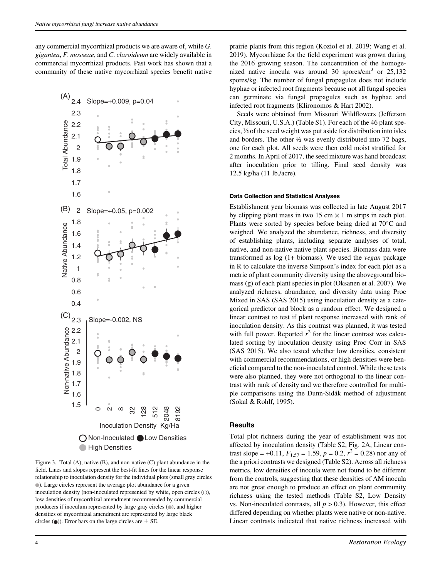any commercial mycorrhizal products we are aware of, while G. gigantea, F. mosseae, and C. claroideum are widely available in commercial mycorrhizal products. Past work has shown that a community of these native mycorrhizal species benefit native



Figure 3. Total (A), native (B), and non-native (C) plant abundance in the field. Lines and slopes represent the best-fit lines for the linear response relationship to inoculation density for the individual plots (small gray circles ). Large circles represent the average plot abundance for a given inoculation density (non-inoculated represented by white, open circles  $( \circ )$ , low densities of mycorrhizal amendment recommended by commercial producers if inoculum represented by large gray circles (.), and higher densities of mycorrhizal amendment are represented by large black circles ( $\bullet$ )). Error bars on the large circles are  $\pm$  SE.

prairie plants from this region (Koziol et al. 2019; Wang et al. 2019). Mycorrhizae for the field experiment was grown during the 2016 growing season. The concentration of the homogenized native inocula was around 30 spores/cm<sup>3</sup> or  $25,132$ spores/kg. The number of fungal propagules does not include hyphae or infected root fragments because not all fungal species can germinate via fungal propagules such as hyphae and infected root fragments (Klironomos & Hart 2002).

Seeds were obtained from Missouri Wildflowers (Jefferson City, Missouri, U.S.A.) (Table S1). For each of the 46 plant species, ½ of the seed weight was put aside for distribution into isles and borders. The other ½ was evenly distributed into 72 bags, one for each plot. All seeds were then cold moist stratified for 2 months. In April of 2017, the seed mixture was hand broadcast after inoculation prior to tilling. Final seed density was 12.5 kg/ha (11 lb./acre).

#### Data Collection and Statistical Analyses

Establishment year biomass was collected in late August 2017 by clipping plant mass in two 15 cm  $\times$  1 m strips in each plot. Plants were sorted by species before being dried at  $70^{\circ}$ C and weighed. We analyzed the abundance, richness, and diversity of establishing plants, including separate analyses of total, native, and non-native native plant species. Biomass data were transformed as log (1+ biomass). We used the vegan package in R to calculate the inverse Simpson's index for each plot as a metric of plant community diversity using the aboveground biomass (g) of each plant species in plot (Oksanen et al. 2007). We analyzed richness, abundance, and diversity data using Proc Mixed in SAS (SAS 2015) using inoculation density as a categorical predictor and block as a random effect. We designed a linear contrast to test if plant response increased with rank of inoculation density. As this contrast was planned, it was tested with full power. Reported  $r^2$  for the linear contrast was calculated sorting by inoculation density using Proc Corr in SAS (SAS 2015). We also tested whether low densities, consistent with commercial recommendations, or high densities were beneficial compared to the non-inoculated control. While these tests were also planned, they were not orthogonal to the linear contrast with rank of density and we therefore controlled for multiple comparisons using the Dunn-Sidák method of adjustment (Sokal & Rohlf, 1995).

#### **Results**

Total plot richness during the year of establishment was not affected by inoculation density (Table S2, Fig. 2A, Linear contrast slope = +0.11,  $F_{1,57} = 1.59$ ,  $p = 0.2$ ,  $r^2 = 0.28$ ) nor any of the a priori contrasts we designed (Table S2). Across all richness metrics, low densities of inocula were not found to be different from the controls, suggesting that these densities of AM inocula are not great enough to produce an effect on plant community richness using the tested methods (Table S2, Low Density vs. Non-inoculated contrasts, all  $p > 0.3$ ). However, this effect differed depending on whether plants were native or non-native. Linear contrasts indicated that native richness increased with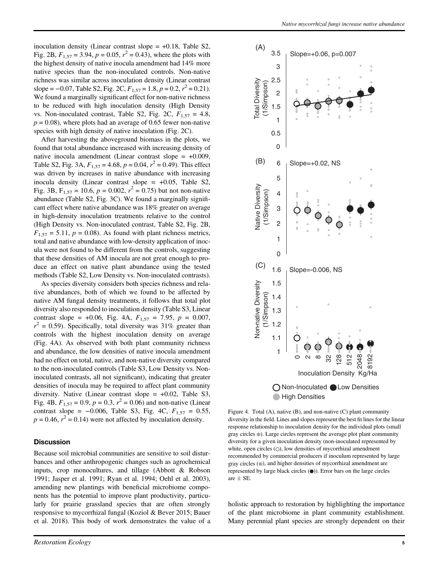inoculation density (Linear contrast slope  $= +0.18$ , Table S2, Fig. 2B,  $F_{1,57} = 3.94$ ,  $p = 0.05$ ,  $r^2 = 0.43$ ), where the plots with the highest density of native inocula amendment had 14% more native species than the non-inoculated controls. Non-native richness was similar across inoculation density (Linear contrast slope = -0.07, Table S2, Fig. 2C,  $F_{1,57} = 1.8$ ,  $p = 0.2$ ,  $r^2 = 0.21$ ). We found a marginally significant effect for non-native richness to be reduced with high inoculation density (High Density vs. Non-inoculated contrast, Table S2, Fig. 2C,  $F_{1,57} = 4.8$ ,  $p = 0.08$ ), where plots had an average of 0.65 fewer non-native species with high density of native inoculation (Fig. 2C).

After harvesting the aboveground biomass in the plots, we found that total abundance increased with increasing density of native inocula amendment (Linear contrast slope  $= +0.009$ , Table S2, Fig. 3A,  $F_{1,57} = 4.68$ ,  $p = 0.04$ ,  $r^2 = 0.49$ ). This effect was driven by increases in native abundance with increasing inocula density (Linear contrast slope =  $+0.05$ , Table S2, Fig. 3B,  $F_{1,57} = 10.6$ ,  $p = 0.002$ ,  $r^2 = 0.75$ ) but not non-native abundance (Table S2, Fig. 3C). We found a marginally significant effect where native abundance was 18% greater on average in high-density inoculation treatments relative to the control (High Density vs. Non-inoculated contrast, Table S2, Fig. 2B,  $F_{1,57} = 5.11$ ,  $p = 0.08$ ). As found with plant richness metrics, total and native abundance with low-density application of inocula were not found to be different from the controls, suggesting that these densities of AM inocula are not great enough to produce an effect on native plant abundance using the tested methods (Table S2, Low Density vs. Non-inoculated contrasts).

As species diversity considers both species richness and relative abundances, both of which we found to be affected by native AM fungal density treatments, it follows that total plot diversity also responded to inoculation density (Table S3, Linear contrast slope = +0.06, Fig. 4A,  $F_{1,57}$  = 7.95,  $p = 0.007$ ,  $r^2 = 0.59$ ). Specifically, total diversity was 31% greater than controls with the highest inoculation density on average (Fig. 4A). As observed with both plant community richness and abundance, the low densities of native inocula amendment had no effect on total, native, and non-native diversity compared to the non-inoculated controls (Table S3, Low Density vs. Noninoculated contrasts, all not significant), indicating that greater densities of inocula may be required to affect plant community diversity. Native (Linear contrast slope  $= +0.02$ , Table S3, Fig. 4B,  $F_{1,57} = 0.9$ ,  $p = 0.3$ ,  $r^2 = 0.06$ ) and non-native (Linear contrast slope =  $-0.006$ , Table S3, Fig. 4C,  $F_{1.57} = 0.55$ ,  $p = 0.46$ ,  $r^2 = 0.14$ ) were not affected by inoculation density.

#### **Discussion**

Because soil microbial communities are sensitive to soil disturbances and other anthropogenic changes such as agrochemical inputs, crop monocultures, and tillage (Abbott & Robson 1991; Jasper et al. 1991; Ryan et al. 1994; Oehl et al. 2003), amending new plantings with beneficial microbiome components has the potential to improve plant productivity, particularly for prairie grassland species that are often strongly responsive to mycorrhizal fungal (Koziol & Bever 2015; Bauer et al. 2018). This body of work demonstrates the value of a



Figure 4. Total (A), native (B), and non-native (C) plant community diversity in the field. Lines and slopes represent the best fit lines for the linear response relationship to inoculation density for the individual plots (small gray circles ). Large circles represent the average plot plant community diversity for a given inoculation density (non-inoculated represented by white, open circles  $( \circ )$ , low densities of mycorrhizal amendment recommended by commercial producers if inoculum represented by large gray circles ( ), and higher densities of mycorrhizal amendment are represented by large black circles  $($ <sup>o</sup> $)$ ). Error bars on the large circles are  $\pm$  SE.

holistic approach to restoration by highlighting the importance of the plant microbiome in plant community establishment. Many perennial plant species are strongly dependent on their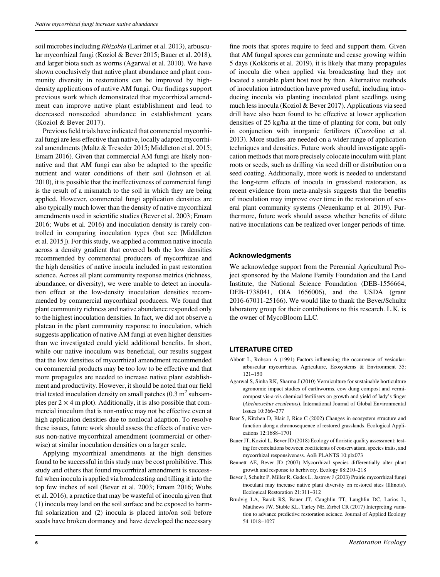soil microbes including Rhizobia (Larimer et al. 2013), arbuscular mycorrhizal fungi (Koziol & Bever 2015; Bauer et al. 2018), and larger biota such as worms (Agarwal et al. 2010). We have shown conclusively that native plant abundance and plant community diversity in restorations can be improved by highdensity applications of native AM fungi. Our findings support previous work which demonstrated that mycorrhizal amendment can improve native plant establishment and lead to decreased nonseeded abundance in establishment years (Koziol & Bever 2017).

Previous field trials have indicated that commercial mycorrhizal fungi are less effective than native, locally adapted mycorrhizal amendments (Maltz & Treseder 2015; Middleton et al. 2015; Emam 2016). Given that commercial AM fungi are likely nonnative and that AM fungi can also be adapted to the specific nutrient and water conditions of their soil (Johnson et al. 2010), it is possible that the ineffectiveness of commercial fungi is the result of a mismatch to the soil in which they are being applied. However, commercial fungi application densities are also typically much lower than the density of native mycorrhizal amendments used in scientific studies (Bever et al. 2003; Emam 2016; Wubs et al. 2016) and inoculation density is rarely controlled in comparing inoculation types (but see [Middleton et al. 2015]). For this study, we applied a common native inocula across a density gradient that covered both the low densities recommended by commercial producers of mycorrhizae and the high densities of native inocula included in past restoration science. Across all plant community response metrics (richness, abundance, or diversity), we were unable to detect an inoculation effect at the low-density inoculation densities recommended by commercial mycorrhizal producers. We found that plant community richness and native abundance responded only to the highest inoculation densities. In fact, we did not observe a plateau in the plant community response to inoculation, which suggests application of native AM fungi at even higher densities than we investigated could yield additional benefits. In short, while our native inoculum was beneficial, our results suggest that the low densities of mycorrhizal amendment recommended on commercial products may be too low to be effective and that more propagules are needed to increase native plant establishment and productivity. However, it should be noted that our field trial tested inoculation density on small patches  $(0.3 \text{ m}^2 \text{ subsam}$ ples per  $2 \times 4$  m plot). Additionally, it is also possible that commercial inoculum that is non-native may not be effective even at high application densities due to nonlocal adaption. To resolve these issues, future work should assess the effects of native versus non-native mycorrhizal amendment (commercial or otherwise) at similar inoculation densities on a larger scale.

Applying mycorrhizal amendments at the high densities found to be successful in this study may be cost prohibitive. This study and others that found mycorrhizal amendment is successful when inocula is applied via broadcasting and tilling it into the top few inches of soil (Bever et al. 2003; Emam 2016; Wubs et al. 2016), a practice that may be wasteful of inocula given that (1) inocula may land on the soil surface and be exposed to harmful solarization and (2) inocula is placed into/on soil before seeds have broken dormancy and have developed the necessary

fine roots that spores require to feed and support them. Given that AM fungal spores can germinate and cease growing within 5 days (Kokkoris et al. 2019), it is likely that many propagules of inocula die when applied via broadcasting had they not located a suitable plant host root by then. Alternative methods of inoculation introduction have proved useful, including introducing inocula via planting inoculated plant seedlings using much less inocula (Koziol & Bever 2017). Applications via seed drill have also been found to be effective at lower application densities of 25 kg/ha at the time of planting for corn, but only in conjunction with inorganic fertilizers (Cozzolino et al. 2013). More studies are needed on a wider range of application techniques and densities. Future work should investigate application methods that more precisely colocate inoculum with plant roots or seeds, such as drilling via seed drill or distribution on a seed coating. Additionally, more work is needed to understand the long-term effects of inocula in grassland restoration, as recent evidence from meta-analysis suggests that the benefits of inoculation may improve over time in the restoration of several plant community systems (Neuenkamp et al. 2019). Furthermore, future work should assess whether benefits of dilute native inoculations can be realized over longer periods of time.

### Acknowledgments

We acknowledge support from the Perennial Agricultural Project sponsored by the Malone Family Foundation and the Land Institute, the National Science Foundation (DEB-1556664, DEB-1738041, OIA 1656006), and the USDA (grant 2016-67011-25166). We would like to thank the Bever/Schultz laboratory group for their contributions to this research. L.K. is the owner of MycoBloom LLC.

# LITERATURE CITED

- Abbott L, Robson A (1991) Factors influencing the occurrence of vesiculararbuscular mycorrhizas. Agriculture, Ecosystems & Environment 35: 121–150
- Agarwal S, Sinha RK, Sharma J (2010) Vermiculture for sustainable horticulture agronomic impact studies of earthworms, cow dung compost and vermicompost vis-a-vis chemical fertilisers on growth and yield of lady's finger (Abelmoschus esculentus). International Journal of Global Environmental Issues 10:366–377
- Baer S, Kitchen D, Blair J, Rice C (2002) Changes in ecosystem structure and function along a chronosequence of restored grasslands. Ecological Applications 12:1688–1701
- Bauer JT, Koziol L, Bever JD (2018) Ecology of floristic quality assessment: testing for correlations between coefficients of conservatism, species traits, and mycorrhizal responsiveness. AoB PLANTS 10:plx073
- Bennett AE, Bever JD (2007) Mycorrhizal species differentially alter plant growth and response to herbivory. Ecology 88:210–218
- Bever J, Schultz P, Miller R, Gades L, Jastrow J (2003) Prairie mycorrhizal fungi inoculant may increase native plant diversity on restored sites (Illinois). Ecological Restoration 21:311–312
- Brudvig LA, Barak RS, Bauer JT, Caughlin TT, Laughlin DC, Larios L, Matthews JW, Stuble KL, Turley NE, Zirbel CR (2017) Interpreting variation to advance predictive restoration science. Journal of Applied Ecology 54:1018–1027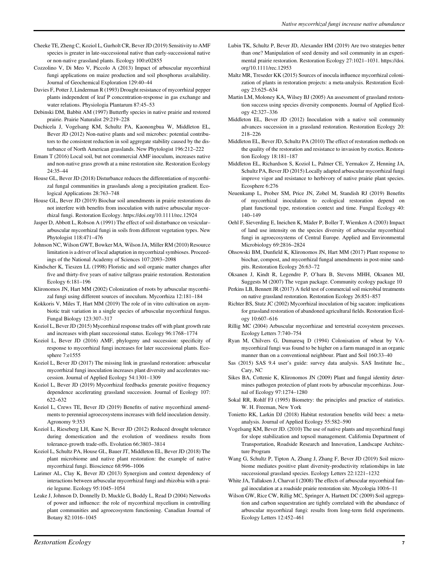- Cheeke TE, Zheng C, Koziol L, Gurholt CR, Bever JD (2019) Sensitivity to AMF species is greater in late-successional native than early-successional native or non-native grassland plants. Ecology 100:e02855
- Cozzolino V, Di Meo V, Piccolo A (2013) Impact of arbuscular mycorrhizal fungi applications on maize production and soil phosphorus availability. Journal of Geochemical Exploration 129:40–44
- Davies F, Potter J, Linderman R (1993) Drought resistance of mycorrhizal pepper plants independent of leaf P concentration-response in gas exchange and water relations. Physiologia Plantarum 87:45–53
- Debinski DM, Babbit AM (1997) Butterfly species in native prairie and restored prairie. Prairie Naturalist 29:219–228
- Duchicela J, Vogelsang KM, Schultz PA, Kaonongbua W, Middleton EL, Bever JD (2012) Non-native plants and soil microbes: potential contributors to the consistent reduction in soil aggregate stability caused by the disturbance of North American grasslands. New Phytologist 196:212–222
- Emam T (2016) Local soil, but not commercial AMF inoculum, increases native and non-native grass growth at a mine restoration site. Restoration Ecology 24:35–44
- House GL, Bever JD (2018) Disturbance reduces the differentiation of mycorrhizal fungal communities in grasslands along a precipitation gradient. Ecological Applications 28:763–748
- House GL, Bever JD (2019) Biochar soil amendments in prairie restorations do not interfere with benefits from inoculation with native arbuscular mycorrhizal fungi. Restoration Ecology.<https://doi.org/10.1111/rec.12924>
- Jasper D, Abbott L, Robson A (1991) The effect of soil disturbance on vesicular– arbuscular mycorrhizal fungi in soils from different vegetation types. New Phytologist 118:471–476
- Johnson NC, Wilson GWT, Bowker MA, Wilson JA, Miller RM (2010) Resource limitation is a driver of local adaptation in mycorrhizal symbioses. Proceedings of the National Academy of Sciences 107:2093–2098
- Kindscher K, Tieszen LL (1998) Floristic and soil organic matter changes after five and thirty-five years of native tallgrass prairie restoration. Restoration Ecology 6:181–196
- Klironomos JN, Hart MM (2002) Colonization of roots by arbuscular mycorrhizal fungi using different sources of inoculum. Mycorrhiza 12:181–184
- Kokkoris V, Miles T, Hart MM (2019) The role of in vitro cultivation on asymbiotic trait variation in a single species of arbuscular mycorrhizal fungus. Fungal Biology 123:307–317
- Koziol L, Bever JD (2015) Mycorrhizal response trades off with plant growth rate and increases with plant successional status. Ecology 96:1768–1774
- Koziol L, Bever JD (2016) AMF, phylogeny and succession: specificity of response to mycorrhizal fungi increases for later successional plants. Ecosphere 7:e1555
- Koziol L, Bever JD (2017) The missing link in grassland restoration: arbuscular mycorrhizal fungi inoculation increases plant diversity and accelerates succession. Journal of Applied Ecology 54:1301–1309
- Koziol L, Bever JD (2019) Mycorrhizal feedbacks generate positive frequency dependence accelerating grassland succession. Journal of Ecology 107: 622–632
- Koziol L, Crews TE, Bever JD (2019) Benefits of native mycorrhizal amendments to perennial agroecosystems increases with field inoculation density. Agronomy 9:353
- Koziol L, Rieseberg LH, Kane N, Bever JD (2012) Reduced drought tolerance during domestication and the evolution of weediness results from tolerance-growth trade-offs. Evolution 66:3803–3814
- Koziol L, Schultz PA, House GL, Bauer JT, Middleton EL, Bever JD (2018) The plant microbiome and native plant restoration: the example of native mycorrhizal fungi. Bioscience 68:996–1006
- Larimer AL, Clay K, Bever JD (2013) Synergism and context dependency of interactions between arbuscular mycorrhizal fungi and rhizobia with a prairie legume. Ecology 95:1045–1054
- Leake J, Johnson D, Donnelly D, Muckle G, Boddy L, Read D (2004) Networks of power and influence: the role of mycorrhizal mycelium in controlling plant communities and agroecosystem functioning. Canadian Journal of Botany 82:1016–1045
- Lubin TK, Schultz P, Bever JD, Alexander HM (2019) Are two strategies better than one? Manipulation of seed density and soil community in an experimental prairie restoration. Restoration Ecology 27:1021–1031. [https://doi.](https://doi.org/10.1111/rec.12953) [org/10.1111/rec.12953](https://doi.org/10.1111/rec.12953)
- Maltz MR, Treseder KK (2015) Sources of inocula influence mycorrhizal colonization of plants in restoration projects: a meta-analysis. Restoration Ecology 23:625–634
- Martin LM, Moloney KA, Wilsey BJ (2005) An assessment of grassland restoration success using species diversity components. Journal of Applied Ecology 42:327–336
- Middleton EL, Bever JD (2012) Inoculation with a native soil community advances succession in a grassland restoration. Restoration Ecology 20: 218–226
- Middleton EL, Bever JD, Schultz PA (2010) The effect of restoration methods on the quality of the restoration and resistance to invasion by exotics. Restoration Ecology 18:181–187
- Middleton EL, Richardson S, Koziol L, Palmer CE, Yermakov Z, Henning JA, Schultz PA, Bever JD (2015) Locally adapted arbuscular mycorrhizal fungi improve vigor and resistance to herbivory of native prairie plant species. Ecosphere 6:276
- Neuenkamp L, Prober SM, Price JN, Zobel M, Standish RJ (2019) Benefits of mycorrhizal inoculation to ecological restoration depend on plant functional type, restoration context and time. Fungal Ecology 40: 140–149
- Oehl F, Sieverding E, Ineichen K, Mäder P, Boller T, Wiemken A (2003) Impact of land use intensity on the species diversity of arbuscular mycorrhizal fungi in agroecosystems of Central Europe. Applied and Environmental Microbiology 69:2816–2824
- Ohsowski BM, Dunfield K, Klironomos JN, Hart MM (2017) Plant response to biochar, compost, and mycorrhizal fungal amendments in post-mine sandpits. Restoration Ecology 26:63–72
- Oksanen J, Kindt R, Legendre P, O'hara B, Stevens MHH, Oksanen MJ, Suggests M (2007) The vegan package. Community ecology package 10
- Perkins LB, Bennett JR (2017) A field test of commercial soil microbial treatments on native grassland restoration. Restoration Ecology 26:851–857
- Richter BS, Stutz JC (2002) Mycorrhizal inoculation of big sacaton: implications for grassland restoration of abandoned agricultural fields. Restoration Ecology 10:607–616
- Rillig MC (2004) Arbuscular mycorrhizae and terrestrial ecosystem processes. Ecology Letters 7:740–754
- Ryan M, Chilvers G, Dumaresq D (1994) Colonisation of wheat by VAmycorrhizal fungi was found to be higher on a farm managed in an organic manner than on a conventional neighbour. Plant and Soil 160:33–40
- Sas (2015) SAS 9.4 user's guide: survey data analysis. SAS Institute Inc., Cary, NC
- Sikes BA, Cottenie K, Klironomos JN (2009) Plant and fungal identity determines pathogen protection of plant roots by arbuscular mycorrhizas. Journal of Ecology 97:1274–1280
- Sokal RR, Rohlf FJ (1995) Biometry: the principles and practice of statistics. W. H. Freeman, New York
- Tonietto RK, Larkin DJ (2018) Habitat restoration benefits wild bees: a metaanalysis. Journal of Applied Ecology 55:582–590
- Vogelsang KM, Bever JD. (2010) The use of native plants and mycorrhizal fungi for slope stabilization and topsoil management. California Department of Transportation, Roadside Research and Innovation, Landscape Architecture Program
- Wang G, Schultz P, Tipton A, Zhang J, Zhang F, Bever JD (2019) Soil microbiome mediates positive plant diversity-productivity relationships in late successional grassland species. Ecology Letters 22:1221–1232
- White JA, Tallaksen J, Charvat I (2008) The effects of arbuscular mycorrhizal fungal inoculation at a roadside prairie restoration site. Mycologia 100:6–11
- Wilson GW, Rice CW, Rillig MC, Springer A, Hartnett DC (2009) Soil aggregation and carbon sequestration are tightly correlated with the abundance of arbuscular mycorrhizal fungi: results from long-term field experiments. Ecology Letters 12:452–461